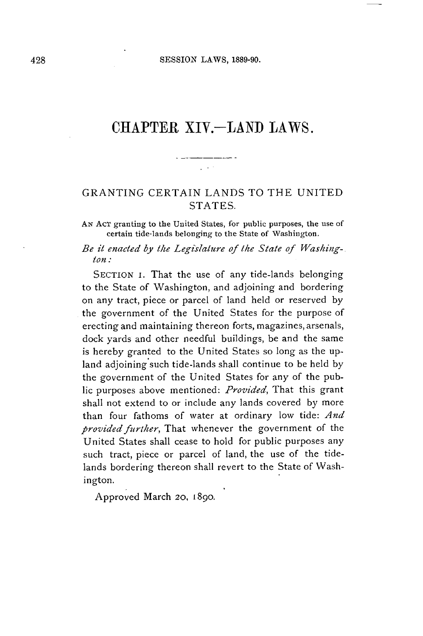# **CHAPTER XIV.-LAND** LAWS.

# GRANTING **CERTAIN LANDS** TO THE **UNITED STATES.**

 $\mathcal{L}^{\text{max}}$ 

**AN AcT** granting to the United States, for public purposes, the use of certain tide-lands belonging to the State of Washington.

### *Be it enacted by the Legislature of the State of Washington:*

**SECTION** I. That the use of any tide-lands belonging to the State of Washington, and adjoining and bordering on any tract, piece or parcel of land held or reserved **by** the government of the United States for the purpose of erecting and maintaining thereon forts, magazines, arsenals, dock yards and other needful buildings, be and the same is hereby granted to the United States so long as the upland adjoining such tide-lands shall continue to be held **by** the government of the United States for any of the public purposes above mentioned: *Provided,* That this grant shall not extend to or include any lands covered **by** more than four fathoms of water at ordinary low tide: *And provided further,* That whenever the government of the United States shall cease to hold for public purposes any such tract, piece or parcel of land, the use of the tidelands bordering thereon shall revert to the State of Washington.

Approved March **20, 1890.**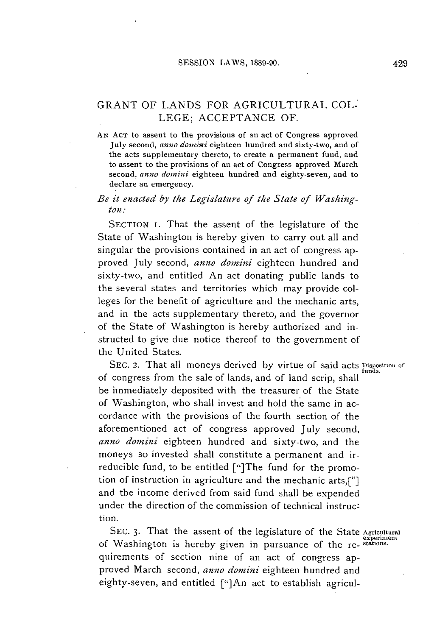# GRANT OF **LANDS** FOR **AGRICULTURAL COL-LEGE; ACCEPTANCE** OF.

**AN ACT** to assent to the provisions of an act of Congress approved July second, *anno domini* eighteen hundred and sixty-two, and of the acts supplementary thereto, to create a permanent fund, and to assent to the provisions of an act of Congress approved March second, *anno domini* eighteen hundred and eighty-seven, and to declare an emergency.

### *Be it enacted by the Legislature of the State of Washington:*

SECTION I. That the assent of the legislature of the State of Washington is hereby given to carry out all and singular the provisions contained in an act of congress approved July second, *anno domini* eighteen hundred and sixty-two, and entitled An act donating public lands to the several states and territories which may provide colleges for the benefit of agriculture and the mechanic arts, and in the acts supplementary thereto, and the governor of the State of Washington is hereby authorized and instructed to give due notice thereof to the government of the United States.

**SEC.** 2. That all moneys derived **by** virtue of said acts **Disposition** of funds. of congress from the sale of lands, and of land scrip, shall **be** immediately deposited with the treasurer of the State of Washington, who shall invest and hold the same in accordance with the provisions of the fourth section of the aforementioned act of congress approved July second, *anno domini* eighteen hundred and sixty-two, and the moneys so invested shall constitute a permanent and irreducible fund, to **be** entitled ["]The fund for the promotion of instruction in agriculture and the mechanic arts,["] and the income derived from said fund shall be expended under the direction of the commission of technical instruction.

**SEC. 3.** That the assent of the legislature of the State **Agricultural** experiment of Washington is hereby given in pursuance of the re- **stations.** quiremcnts of section nine of an act of congress approved March second, *anno domini* eighteen hundred and eighty-seven, and entitled ["]An act to establish agricul-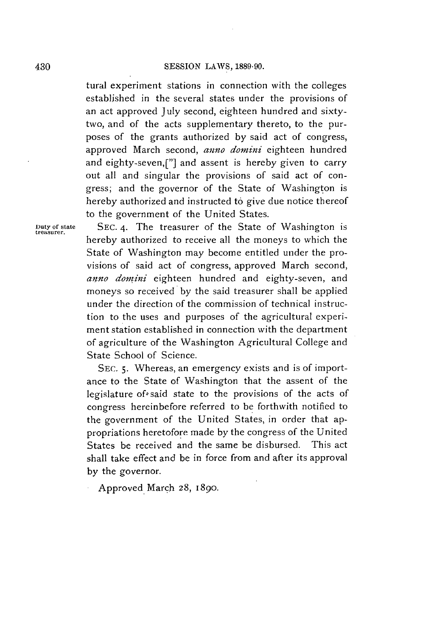#### **SESSION** LAWS, **1889-90.**

tural experiment stations in connection with the colleges established in the several states under the provisions of an act approved July second, eighteen hundred and sixtytwo, and of the acts supplementary thereto, to the purposes of the grants authorized **by** said act of congress, approved March second, *anno donini* eighteen hundred and eighty-seven,["] and assent is hereby given to carry out all and singular the provisions of said act of congress; and the governor of the State of Washington is hereby authorized and instructed to give due notice thereof to the government of the United States.

**Duty** of state **SEC.** 4. The treasurer of the State of Washington is treasurer. hereby authorized to receive all the moneys to which the State of Washington may become entitled under the provisions of said act of congress, approved March second, *amno domini* eighteen hundred and eighty-seven, and moneys so received **by** the said treasurer shall be applied under the direction of the commission of technical instruction to the uses and purposes of the agricultural experiment station established in connection with the department of agriculture of the Washington Agricultural College and State School of Science.

> **SEC. 5.** Whereas, an emergency exists and is of importance to the State of Washington that the assent of the legislature of said state to the provisions of the acts of congress hereinbefore referred to **be** forthwith notified to the government of the United States, in order that appropriations heretofore made **by** the congress of the United States be received and the same be disbursed. This act shall take effect and be in force from and after its approval **by** the governor.

Approved March **28,** 1890.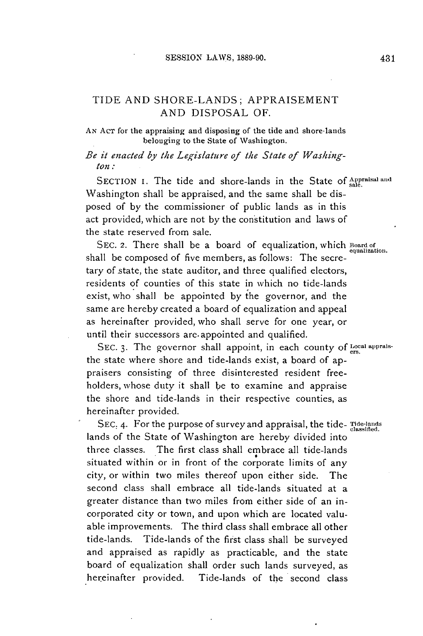# **TIDE AND SHORE-LANDS;** APPRAISEMENT **AND** DISPOSAL OF.

**AN AcT for the appraising and disposing of the tide and shore-lands belonging to the State of Washington.**

*Be it enacted by the Legislature of the State of Washington:*

**SECTION i.** The tide and shore-lands in the State of **Appraisal and** Washington shall be appraised, and the same shall be disposed of **by** the commissioner of public lands as in this act provided, which are not **by** the constitution and laws of the state reserved from sale.

**SEC. 2.** There shall be a board of equalization, which **Board of equalization.** shall be composed of five members, as follows: The secretary of state, the state auditor, and three qualified electors, residents of counties of this state in which no tide-lands exist, who shall be appointed **by** the governor, and the same are hereby created a board of equalization and appeal as hereinafter provided, who shall serve for one year, or until their successors are.appointed and qualified.

SEC. 3. The governor shall appoint, in each county of Local appraisthe state where shore and tide-lands exist, a board of appraisers consisting of three disinterested resident freeholders, whose duty it shall be to examine and appraise the shore and tide-lands in their respective counties, as hereinafter provided.

SEC. 4. For the purpose of survey and appraisal, the tide- Tide-lands lands of the State of Washington are hereby divided into three classes. The first class shall embrace all tide-lands situated within or in front of the corporate limits of any city, or within two miles thereof upon either side. The second class shall embrace all tide-lands situated at a greater distance than two miles from either side of an incorporated city or town, and upon which are located valuable improvements. The third class shall embrace all other tide-lands. Tide-lands of the first class shall **be** surveyed and appraised as rapidly as practicable, and the state board of equalization shall order such lands surveyed, as hereinafter provided. Tide-lands of the second class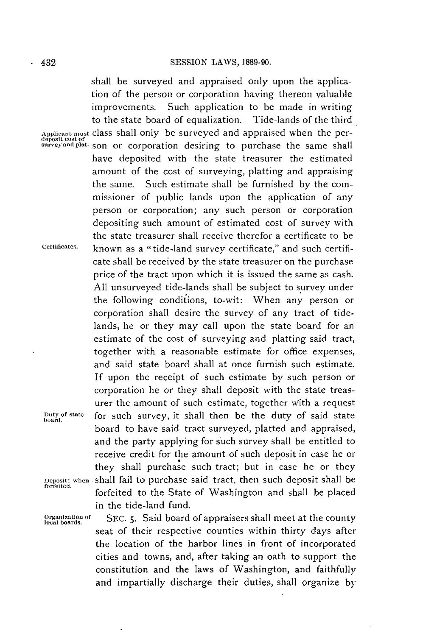shall be surveyed and appraised only upon the application of the person or corporation having thereon valuable improvements. Such application to be made in writing to the state board of equalization. Tide-lands of the third **Applicant must** class shall only be surveyed and appraised when the perdeposit cost **of surveyandplat.** son or corporation desiring to purchase the same shall have deposited with the state treasurer the estimated amount of the cost of surveying, platting and appraising the same. Such estimate shall be furnished **by** the commissioner of public lands upon the application of any person or corporation; any such person or corporation depositing such amount of estimated cost of survey with the state treasurer shall receive therefor a certificate to be **Certificates.** known as a "tide-land survey certificate," and such certificate shall be received **by** the state treasurer on the purchase price of the tract upon which it is issued the same as cash. **All** unsurveyed tide-lands shall be subject to survey under the following conditions, to-wit: When any person or corporation shall desire the survey of any tract of tidelands, he or they may call upon the state board for an estimate of the cost of surveying and platting said tract, together with a reasonable estimate for office expenses, and said state board shall at once furnish such estimate. **If** upon the receipt of such estimate **by** such person or corporation he or they shall deposit with the state treasurer the amount of such estimate, together With a request **Duty of state** for such survey, it shall then be the duty of said state **board.** board to have said tract surveyed, platted and appraised, and the party applying for such survey shall be entitled to receive credit for the amount of such deposit in case he or they shall purchase such tract; but in case he or they **Deposit; when** shall fail to purchase said tract, then such deposit shall be **forfeited.** forfeited to the State of Washington and shall **be** placed in the tide-land fund.

Organization of SEC. 5. Said board of appraisers shall meet at the county seat of their respective counties within thirty days after the location of the harbor lines in front of incorporated cities and towns, and, after taking an oath to support the constitution and the laws of Washington, and faithfully and impartially discharge their duties, shall organize **by**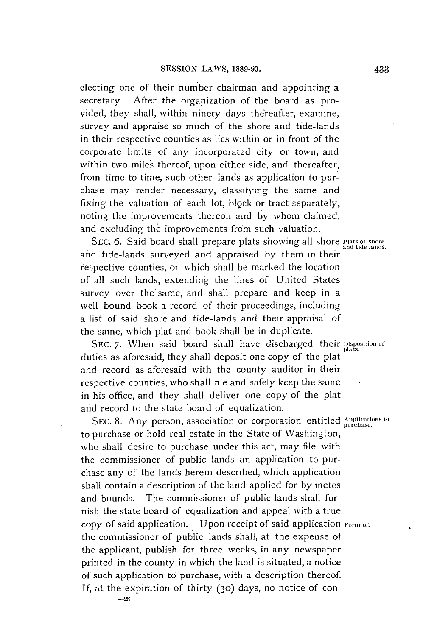electing one of their number chairman and appointing a secretary. After the organization of the board as provided, they shall, within ninety days thereafter, examine, survey and appraise so much of the shore and tide-lands in their respective counties as lies within or in front of the corporate limits of any incorporated city or town, and within two miles thereof, upon either side, and thereafter, from time to time, such other lands as application to purchase may render necessary, classifying the same and fixing the valuation of each lot, block or tract separately, noting the improvements thereon and **by** whom claimed, and excluding the improvements from such valuation.

**SEC. 6.** Said board shall prepare plats showing all shore **Piats of** shore **and** tide lands. and tide-lands surveyed and appraised **by** them in their respective counties, on which shall be marked the location of all such lands, extending the lines of United States survey over the'same, and shall prepare and keep in a well bound book a record of their proceedings, including a list of said shore and tide-lands and their appraisal of the same, which plat and book shall **be** in duplicate.

**SEC. 7.** When said board shall have discharged their Disposition **or** duties as aforesaid, they shall deposit one copy of the plat and record as aforesaid with the county auditor in their respective counties, who shall **file** and safely keep the same in his office, and they shall deliver one copy of the plat and record to the state board of equalization.

SEC. 8. Any person, association or corporation entitled Applications to to purchase or hold real estate in the State of Washington, who shall desire to purchase under this act, may file with the commissioner of public lands an application to purchase any of the lands herein described, which application shall contain a description of the land applied for **by** metes and bounds. The commissioner of public lands shall furnish the state board of equalization and appeal with a true copy of said application. Upon receipt of said application  $F_{\text{orm of}}$ . the commissioner of public lands shall, at the expense of the applicant, publish for three weeks, in any newspaper printed in the county in which the land is situated, a notice of such application to purchase, with a description thereof. If, at the expiration of thirty (3o) days, no notice of con- **-28**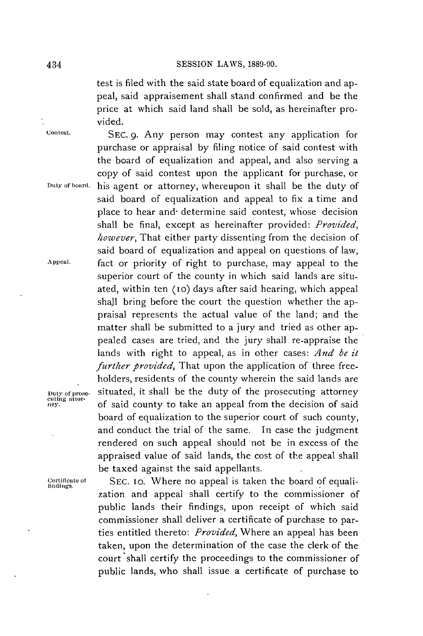test is filed with the said state board of equalization and appeal, said appraisement shall stand confirmed and be the price at which said land shall be sold, as hereinafter provided.

purchase or appraisal **by** filing notice of said contest with the board of equalization and appeal, and also serving a copy of said contest upon the applicant for purchase, or

said board of equalization and appeal to fix a time and place to hear and- determine said contest, whose decision shall be final, except as hereinafter provided: *Provided, however,* That either party dissenting from the decision of said board of equalization and appeal on questions of law,

superior court of the county in which said lands are situated, within ten **(1o)** days after said hearing, which appeal shall bring before the court the question whether the appraisal represents the actual value of the land; and the matter shall be submitted to a jury and tried as other appealed cases are tried, and the jury shall re-appraise the lands with right to appeal, as in other cases: *And be it further provided*, That upon the application of three freeholders, residents of the county wherein the said lands are

**Contest.** SEC. **9.** Any person may contest any application for

**Duty of boara,** his agent or attorney, whereupon it shall be the duty of

**Appeal.** fact or priority of right to purchase, may appeal to the

**Dutyofprose-** situated, it shall be the duty of the prosecuting attorney **cuting attor-** ner. of said county to take an appeal from the decision of said

be taxed against the said appellants. rifito **of SEC. 10.** Where no appeal is taken the board of equali- **findings.** zation and appeal shall certify to the commissioner of public lands their findings, upon receipt of which said commissioner shall deliver a certificate of purchase to parties entitled thereto: *Provided,* Where an appeal has been taken, upon the determination of the case the clerk of the court shall certify the proceedings to the commissioner of public lands, who shall issue a certificate of purchase to

board of equalization to the superior court of such county, and conduct the trial of the same. In case the judgment rendered on such appeal should not be in excess of the appraised value of said lands, the cost of the appeal shall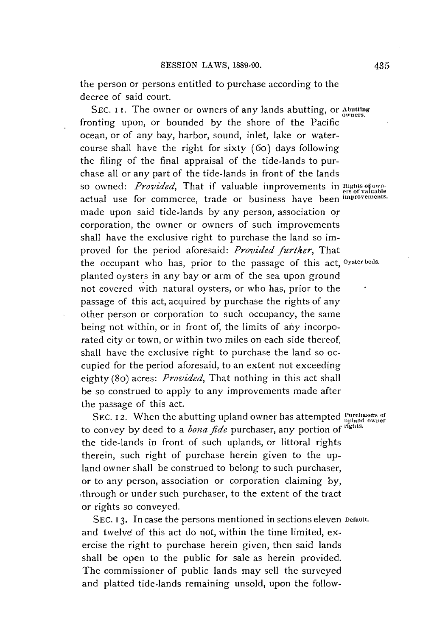the person or persons entitled to purchase according to the decree of said court.

**SEC. i i.** The owner or owners of any lands abutting, or **Abutting** fronting upon, or bounded **by** the shore of the Pacific ocean, or of any bay, harbor, sound, inlet, lake or watercourse shall have the right for sixty (6o) days following the filing of the final appraisal of the tide-lands to purchase all or any part of the tide-lands in front of the lands so owned: *Provided*, That if valuable improvements in **Rights of own**actual use for commerce, trade or business have been *improvements*. made upon said tide-lands **by** any person, association or corporation, the owner or owners of such improvements shall have the exclusive right to purchase the land so *im*proved for the period aforesaid: *Provided further,* That the occupant who has, prior to the passage of this act, **Oyster beds.** planted oysters in any bay or arm of the sea upon ground not covered with natural oysters, or who has, prior to the passage of this act, acquired **by** purchase the rights of any other person or corporation to such occupancy, the same being not within, or in front of, the limits of any incorporated city or town, or within two miles on each side thereof, shall have the exclusive right to purchase the land so occupied for the period aforesaid, to an extent not exceeding eighty (80) acres: *Provided,* That nothing in this act shall be so construed to apply to any improvements made after the passage of this act.

SEC. 12. When the abutting upland owner has attempted **Purchasers** of to convey by deed to a *bona fide* purchaser, any portion of the tide-lands in front of such uplands, or littoral rights therein, such right of purchase herein given to the upland owner shall **be** construed to belong to such purchaser, or to any person, association or corporation claiming **by,** through or under such purchaser, to the extent of the tract or rights so conveyed.

**SEC. 13.** In case the persons mentioned in sections eleven **Default.** and twelve of this act do not, within the time limited, exercise the right to purchase herein given, then said lands shall be open to the public for sale as herein provided. The commissioner of public lands may sell the surveyed and platted tide-lands remaining unsold, upon the follow-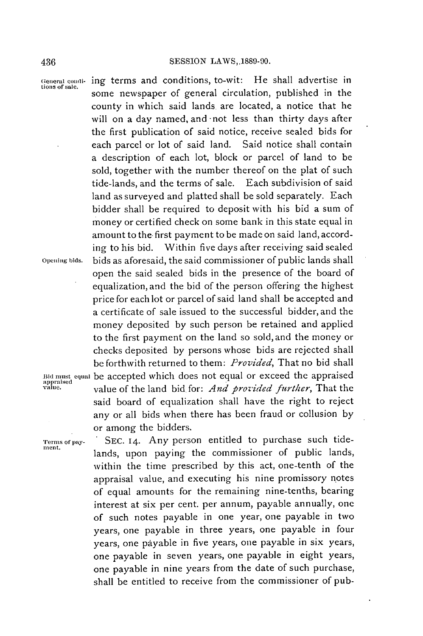**aeneral conli-** ing terms and conditions, to-wit: He shall advertise in **tions of sale.** some newspaper of general circulation, published in the county in which said lands. are located, a notice that he will on a day named, and -not less than thirty days after the first publication of said notice, receive sealed bids for each parcel or lot of said land. Said notice shall contain a description of each lot, block or parcel of land to be sold, together with the number thereof on the plat of such tide-lands, and the terms of sale. Each subdivision of said land as surveyed and platted shall be sold separately. Each bidder shall be required to deposit with his bid a sum of money or certified check on some bank in this state equal in amount to the first payment to be made on said land, according to his bid. Within five days after receiving said sealed **Opening bids.** bids as aforesaid, the said commissioner of public lands shall open the said sealed bids in the presence of the board of equalization, and the bid of the person offering the highest price for each lot or parcel of said land shall be accepted and a certificate of sale issued to the successful bidder, and the money deposited **by** such person be retained and applied to the first payment on the land so sold, and the money or checks deposited **by** persons whose bids are rejected shall **be** forthwith returned to them: *Provided,* That **no** bid shall **Bid must equal** be accepted which does not equal or exceed the appraised appraised **value.** value of the land bid. for: *And provided further,* That the said board of equalization shall have the right to reject any or all bids when there has been fraud or collusion **by** or among the bidders.

**'rerms or pay- SEC. 14.** Any person entitled to purchase such tide- **mnent.** lands, upon paying the commissioner of public lands, within the time prescribed **by** this act, one-tenth of the appraisal value, and executing his nine promissory notes of equal amounts for the remaining nine-tenths, bearing interest at six per cent. per annum, payable annually, one of such notes payable in one year, one payable in two years, one payable in three years, one payable in four years, one payable in five years, one payable in six years, one payable in seven years, one payable in eight years, one payable in nine years from the date of such purchase, shall be entitled to receive from the commissioner of pub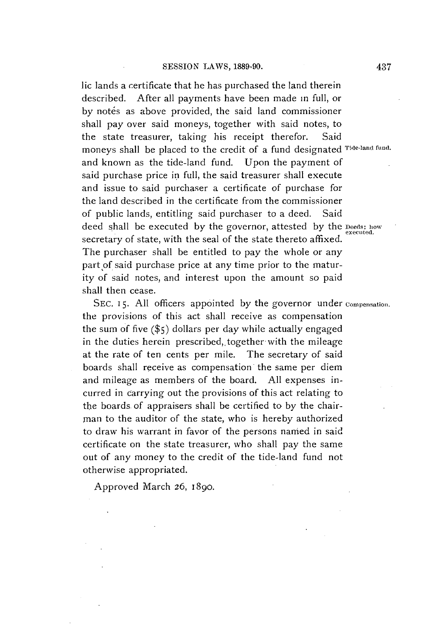lic lands a certificate that he has purchased the land therein described. After all payments have been made in full, or **by** notes as above provided, the said land commissioner shall pay over said moneys, together with said notes, to the state treasurer, taking his receipt therefor. Said moneys shall be placed to the credit of a fund designated **Tide-land fund.** and known as the tide-land fund. Upon the payment of said purchase price in full, the said treasurer shall execute and issue to said purchaser a certificate of purchase for the land described in the certificate from the commissioner of public lands, entitling said purchaser to a deed. Said deed shall be executed **by** the governor, attested **by** the **Deeds; how** executed. secretary of state, with the seal **of** the state thereto affixed. The purchaser shall be entitled to pay the whole or any part of said purchase price at any time prior to the maturity of said notes, and interest upon the amount so paid shall then cease.

**SEC. 15. All** officers appointed **by** the governor under **Compensation.** the provisions of this act shall receive as compensation the sum of five **(\$5)** dollars per day while actually engaged in the duties herein prescribed, together with the mileage at the rate of ten cents per mile. The secretary of said boards shall receive as compensation the same per diem and mileage as members of the board. **All** expenses incurred in carrying out the provisions of this act relating to the boards of appraisers shall be certified to **by** the chairman to the auditor of the state, who is hereby authorized to draw his warrant in favor of the persons named in said certificate on the state treasurer, who shall pay the same out of any money to the credit of the tide-land fund not otherwise appropriated.

Approved March **26,** 1890.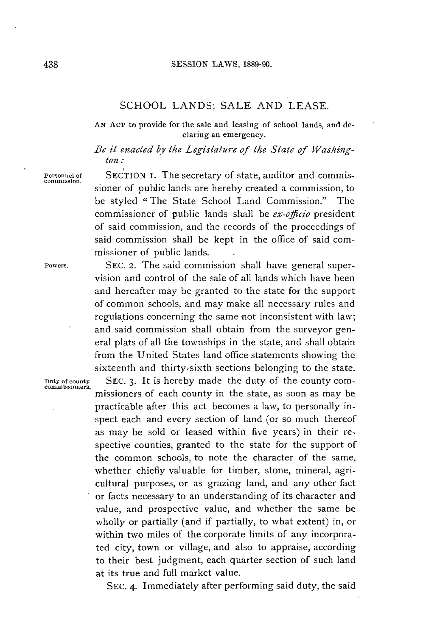#### **SESSION** LAWS, **1889-90.**

# **SCHOOL LANDS; SALE AND LEASE.**

**AN Act** to provide for the sale and leasing of school lands, and declaring an emergency.

### *Be it enacted by the Legislature of the State of Washington:*

**Powers. SEC.** 2. The said commission shall have general super-

**Personnel of** SECTION I. The secretary of state, auditor and commissioner of public lands are hereby created a commission, to be styled " The State School Land Commission." The commissioner of public lands shall be *ex-officio* president of said commission, and the records of the proceedings of said commission shall be kept in the office of said commissioner of public lands.

vision and control of the sale of all lands which have been and hereafter may be granted to the state for the support of common schools, and may make all necessary rules and regulations concerning the same not inconsistent with law; and said commission shall obtain from the surveyor general plats of all. the townships in the state, and shall obtain from the United States land office statements showing the sixteenth and thirty-sixth sections belonging to the state. **Duty of county** SEc. 3. It is hereby made the duty of the county com- **commissioners.** missioners of each county in the state, as soon as may be practicable after this act becomes a law, to personally inspect each and every section of land (or so much thereof as may be sold or leased within five years) in their respective counties, granted to the state for the support of the common schools, to note the character of the same, whether chiefly valuable for timber, stone, mineral, agricultural purposes, or as grazing land, and any other fact or facts necessary to an understanding of its character and value, and prospective value, and whether the same be wholly or partially (and if partially, to what extent) in, or within two miles of the corporate limits of any incorporated city, town or village, and also to appraise, according to their best judgment, each quarter section of such land at its true and full market value.

**SEC.** 4. Immediately after performing said duty, the said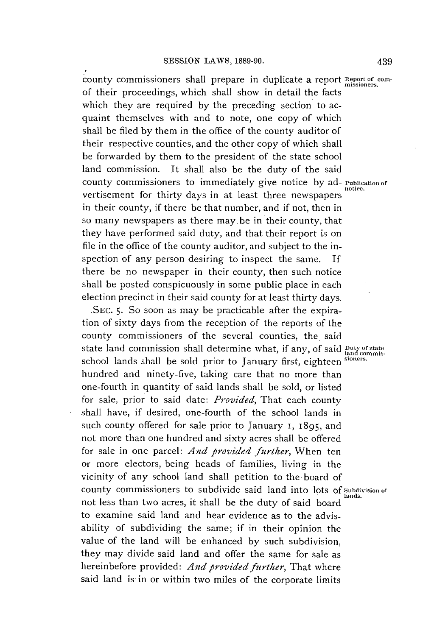county commissioners shall prepare in duplicate a report **Report of con**of their proceedings, which shall show in detail the facts which they are required **by** the preceding section to acquaint themselves with and to note, one copy of which shall be filed **by** them in the office of the county auditor of their respective counties, and the other copy of which shall be forwarded **by** them to the president of the state school land commission. It shall also be the duty of the said county commissioners to immediately give notice by ad- **Publication** of vertisement for thirty days in at least three newspapers in their county, if there be that number, and if not, then in so many newspapers as there may. be in their county, that they have performed said duty, and that their report is on file in the office of the county auditor, and subject to the inspection of any person desiring to inspect the same. If there be no newspaper in their county, then such notice shall be posted conspicuously in some public place in each election precinct in their said county for at least thirty days.

**.SEC. 5.** So soon as may be practicable after the expiration of sixty days from the reception of the reports of the county commissioners of the several counties, the. said state land commission shall determine what, if any, of said paty of state school lands shall be sold prior to January first, eighteen **sioners.** hundred and ninety-five, taking care that no more than one-fourth in quantity of said lands shall **be** sold, or listed for sale, prior to said date: *Provided,* That each county shall have, if desired, one-fourth of the school lands in such county offered for sale prior to January **I, 1895,** and not more than one hundred and sixty acres shall **be** offered for sale in one parcel: *And provided further,* When ten or more electors, being heads of families, living in the vicinity of any school land shall petition to the-board of county commissioners to subdivide said land into lots of Subdivision of not less than two acres, it shall be the duty of said board to examine said land and hear evidence as to the advisability of subdividing the same; if in their opinion the value of the land will be enhanced **by** such subdivision, they may divide said land and offer the same for sale as hereinbefore provided: *And provided further,* That where said land is in or within two miles of the corporate limits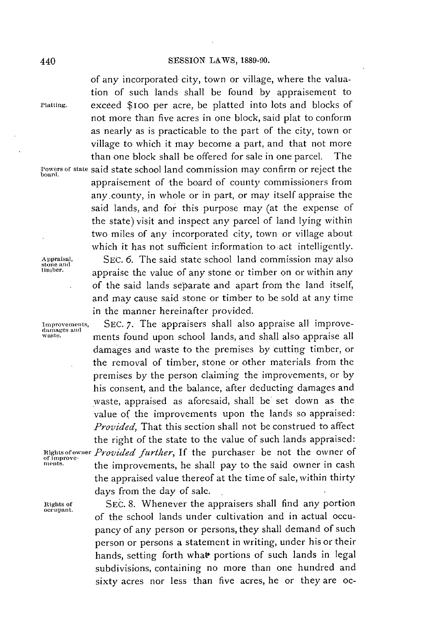#### **SESSION** LAWS, **1889-90.**

**Of Improve-**<br>ments

of any incorporated city, town or village, where the valuation of such lands shall be found **by** appraisement to **Platting.** exceed \$ioo per acre, **be** platted into lots and blocks of not more than five acres in one block, said plat to conform as nearly as is practicable to the part of the city, town or village to which it may become a part, and that not more than one block shall be offered for sale in one parcel. The **rowersor state** said state school land commission may confirm or reject the board. appraisement of the board of county commissioners from any county, in whole or in part, or may itself appraise the said lands, and for this purpose may (at the expense of the state) visit and inspect any parcel of land lying within two miles of any incorporated city, town or village about which it has not sufficient information to act intelligently.

**Appraisal, SEC. 6.** The said state school land commission may also **stone and timber.** appraise the value of any stone or timber on or within any of the said lands separate and apart from the land itself, and may cause said stone or timber to **be** sold at any time in the manner hereinafter provided.

Improvements, SEC. 7. The appraisers shall also appraise all improve-<br>damages and<br>waste. ments found upon school lands, and shall also appraise all damages and waste to the premises **by** cutting timber, or the removal of timber, stone or other materials from the premises by the person claiming the improvements, or by his consent, and the balance, after deducting damages and waste, appraised as aforesaid, shall be set down as the value of the improvements upon the lands so appraised: *Provided,* That this section shall not be construed to affect the right of the state to the value of such lands appraised: **Rights ofowner** *Provided furher, If* the purchaser be not the owner of the improvements, he shall pay to the said owner in cash the appraised value thereof at the time of sale, within thirty days from the day of sale.

**nights of SEC. 8.** Whenever the appraisers shall find any portion of the school lands under cultivation and in actual occupancy of any person or persons, they shall demand of such person or persons a statement in writing, under his or their hands, setting forth what portions of such lands in legal subdivisions, containing no more than one hundred and sixty acres nor less than five acres, he or they are oc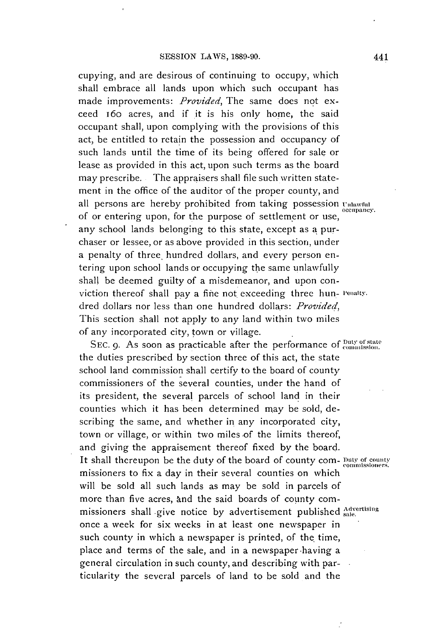cupying, and are desirous of continuing to occupy, which shall embrace all lands upon which such occupant has made improvements: *Provided,* The same does not exceed 16o acres, and if it is his only home, the said occupant shall, upon complying with the provisions of this act, be entitled to retain the possession and occupancy of such lands until the time of its being offered for sale or lease as provided in this act, upon such terms as the board may prescribe. The appraisers shall file such written statement in the office of the auditor of the proper county, and all persons are hereby prohibited from taking possession **Unlawful** of or entering upon, for the purpose of settlement or use, any school lands belonging to this state, except as **a** purchaser or lessee, or as above provided in this section, under a penalty of three, hundred dollars, and every person entering upon school lands or occupying the same unlawfully shall be deemed guilty of a misdemeanor, and upon conviction thereof shall **pay** a fine not exceeding three hun- **enalty.** dred dollars nor less than one hundred dollars: *Provided,* This section shall not apply to any land within two miles of any incorporated city, town or village.

SEC. 9. As soon as practicable after the performance of  $_{\text{commission}}^{\text{Duty of state}}$ the duties prescribed **by** section three of this act, the state school land commission shall certify to the board of county commissioners of the several counties, under the hand of its president, the several parcels of school land in their counties which it has been determined may be sold, describing the same, and whether in any incorporated city, town or village, or within two miles of the limits thereof, and giving the appraisement thereof fixed **by** the board. It shall thereupon be the duty of the board of county com- puty of county missioners to fix a day in their several counties on which will be sold all such lands as may be sold in parcels of more than five acres, and the said boards of county commissioners shall give notice **by** advertisement published **Alertising** once a week for six weeks in at least one newspaper in such county in which a newspaper is printed, of the time, place and terms of the sale, and in a newspaper having a general circulation in such county, and describing with particularity the several parcels of land to be sold and the

**occupancy.**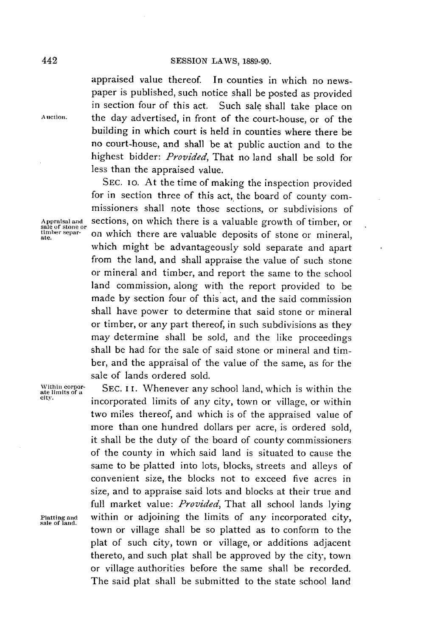#### **SESSION** LAWS, **1889-90.**

appraised value thereof. In counties in which no newspaper is published, such notice shall be posted as provided in section four of this act. Such sale shall take place on **Auction.** the day advertised, in front of the court-house, or of the building in which court is held in counties where there be no court-house, and shall be at public auction and to the highest bidder: *Provided,* That no land shall be sold for less than the appraised value.

**SEC.** io. At the time of making the inspection provided for in section three of this act, the board of county commissioners shall note those sections, or subdivisions of **Appraisaland** sections, on which there is a valuable growth of timber, or **sale** of **stone or** on which there are valuable deposits of stone or mineral, which might be advantageously sold separate and apart from the land, and shall appraise the value of such stone or mineral and timber, and report the same to the school land commission, along with the report provided to be made **by** section four of this act, and the said commission shall have power to determine that said stone or mineral or timber, or any part thereof, in such subdivisions as they may determine shall be sold, and the like proceedings shall be had for the sale of said stone or mineral and timber, and the appraisal of the value of the same, as for the sale of lands ordered sold.

SEC. II. Whenever any school land, which is within the incorporated limits of any city, town or village, or within two miles thereof, and which is of the appraised value of more than one hundred dollars per acre, is ordered sold, it shall be the duty of the board of county commissioners of the county in which said land is situated to cause the same to be platted into lots, blocks, streets and alleys of convenient size, the blocks not to exceed five acres in size, and to appraise said lots and blocks at their true and full market value: *Provided,* That all school lands lying **Platting and** within or adjoining the limits of any incorporated city, **sale of land.** town or village shall be so platted as to conform to the plat of such city, town or village, or additions adjacent thereto, and such plat shall be approved **by** the city, town or village authorities before the same shall be recorded. The said plat shall be submitted to the state school land

**ate.**

Within corporate limits of a<br>city.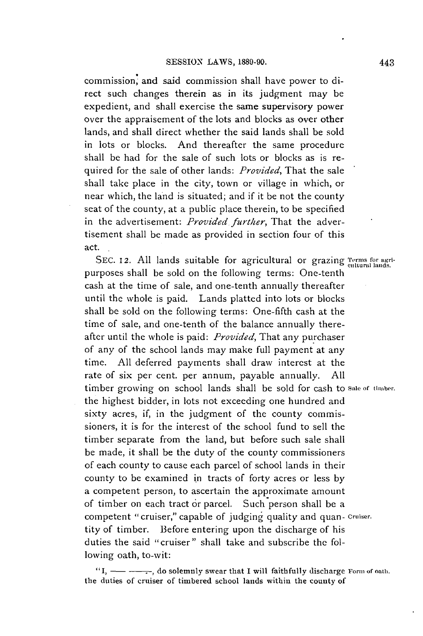commission, and said commission shall have power to direct such changes therein as in its judgment may be expedient, and shall exercise the same supervisory power over the appraisement of the lots and blocks as over other lands, and shall direct whether the said lands shall be sold in lots or blocks. And thereafter the same procedure shall be had for the sale of such lots or blocks as is required for the sale of other lands: *Provided,* That the sale shall take place in the city, town or village in which, or near which, the land is situated; and if it be not the county seat of the county, at a public place therein, to be specified in the advertisement: *Provided further,* That the advertisement shall be made as provided in section four of this act.

**SEC. 12. All** lands suitable for agricultural or grazing **Terms for agri- cultural lands.** purposes shall be sold on the following terms: One-tenth cash at the time of sale, and one-tenth annually thereafter until the whole is paid. Lands platted into lots or blocks shall be sold on the following terms: One-fifth cash at the time of sale, and one-tenth of the balance annually thereafter until the whole is paid: *Provided,* That any purchaser of any of the school lands may make full payment at any time. **All** deferred payments shall draw interest at the rate of six per cent. per annum, payable annually. **All** timber growing on school lands shall be sold for cash to **sale of** *timber.* the highest bidder, in lots not exceeding one hundred and sixty acres, if, in the judgment of the county commissioners, it is for the interest of the school fund to sell the timber separate from the land, but before such sale shall **be** made, it shall be the duty of the county commissioners of each county to cause each parcel of school lands in their county to be examined in tracts of forty acres or less **by** a competent person, to ascertain the approximate amount of timber on each tract or parcel. Such person shall **be** a competent "cruiser," capable of judging quality and quan- **Cruiser.** tity of timber. Before entering upon the discharge of his duties the said "cruiser" shall take and subscribe the following oath, to-wit:

**"I, - - , do solemnly swear that I will faithfully discharge Form of oati,. the duties of cruiser of timbered school lands within the county of**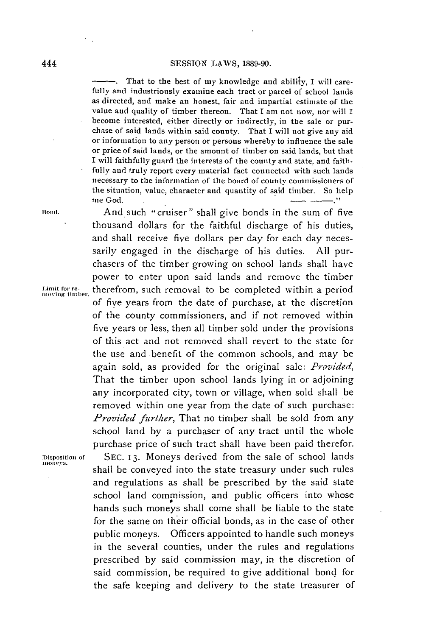That to the best of my knowledge and ability, I will carefully and industriously examine each tract or parcel of school lands as directed, and make an honest, fair and impartial estimate of the value and quality of timber thereon. That I am not now, nor will I become interested, either directly or indirectly, in the sale or purchase of said lands within said county. That **I** will not give any aid or information to any person or persons whereby to influence the sale or price of said lands, or the amount of timber on said lands, but that I will faithfully guard the interests of the county and state, and faithfully and truly report every material fact connected with such lands necessary to the information of the board of county commissioners of the situation, value, character and quantity of said timber. So help me God. .\_ .

**loni.** And such "cruiser" shall give bonds in the sum of five thousand dollars for the faithful discharge of his duties, and shall receive five dollars per day for each day necessarily engaged in the discharge of his duties. **All** purchasers of the timber growing on school lands shall have power to enter upon said lands and remove the timber Limit for re-<br>moving timber, therefrom, such removal to be completed within a period of five years from the date of purchase, at the discretion **of** the county commissioners, and if not removed within five years or less, then all timber sold under the provisions of this act and not removed shall revert to the state for the use and -benefit of the common schools, and may be again sold, as provided for the original sale: *Provided,* That the timber upon school lands lying in or adjoining any incorporated city, town or village, when sold shall be removed within one year from the date of such purchase: *Provided further*, That no timber shall be sold from any school land **by** a purchaser of any tract until the whole purchase price of such tract shall have been paid therefor. **Disposition of SEC. 13.** Moneys derived from the sale of school lands shall be conveyed into the state treasury under such rules and regulations as shall be prescribed **by** the said state school land commission, and public officers into whose hands such moneys shall come shall be liable to the state for the same on their official bonds, as in the case of other public moneys. Officers appointed to handle such moneys in the several counties, under the rules and regulations prescribed **by** said commission may, in the discretion of said commission, be required to give additional bond for the safe keeping and delivery to the state treasurer of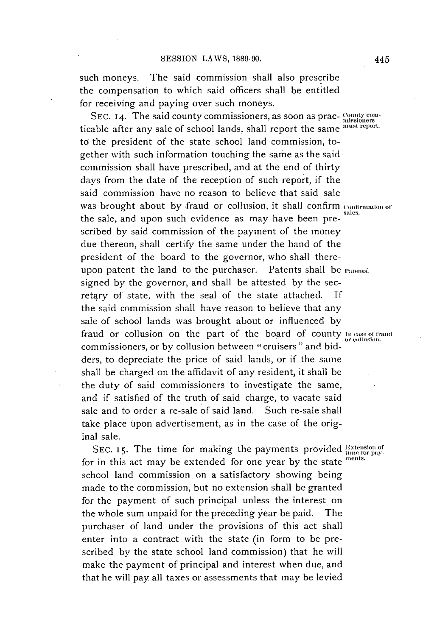such moneys. The said commission shall also prescribe the compensation to which said officers shall be entitled for receiving and paying over such moneys.

SEC. 14. The said county commissioners, as soon as prac- County con ticable after any sale of school lands, shall report the same **must report.** to the president of the state school land commission, together with such information touching the same as the said commission shall have prescribed, and at the end of thirty days from the date of the reception of such report, if the said commission have no reason to believe that said sale was brought about **by** -fraud or collusion, it shall confirm **onfirmation of** the sale, and upon such evidence as may have been prescribed **by** said commission of the payment of the money due thereon, shall certify the same under the hand of the president of the board to the governor, who shall thereupon patent the land to the purchaser. Patents shall **be** atents. signed **by** the governor, and shall be attested **by** the secretary of state, with the seal of the state attached. **If** the said commission shall have reason to believe that any sale of school lands was brought about or influenced **by** fraud or collusion on the part of the board of county **in** case **of** trand commissioners, or by collusion between " cruisers " and bidders, to depreciate the price of said lands, or if the same shall be charged on the affidavit of any resident, it shall be the duty of said commissioners to investigate the same, and if satisfied of the truth of said charge, to vacate said sale and to order a re-sale of said land. Such re-sale shall take place upon advertisement, as in the case of the original sale.

SEC. 15. The time for making the payments provided Extension of for in this act may be extended for one year by the state ments. school land commission on a satisfactory showing being made to the commission, but no extension shall be granted for the payment of such principal unless the interest on the whole sum unpaid for the preceding year be paid. The purchaser of land under the provisions of this act shall enter into a contract with the state (in form to be prescribed **by** the state school land commission) that he will make the payment of principal and interest when due, and that he will pay all taxes or assessments that may be levied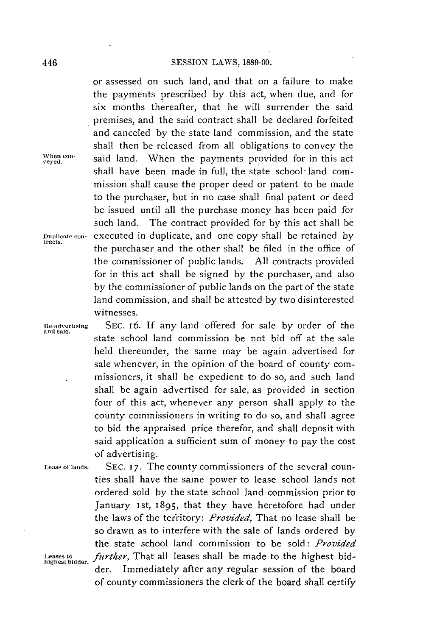or assessed on such land, and that on a failure to make the payments prescribed **by** this act, when due, and for six months thereafter, that he will surrender the said premises, and the said contract shall be declared forfeited and canceled **by** the state land commission, and the state shall then be released from all obligations to convey the When con-<br>veved. **Said land.** When the payments provided for in this act shall have been made in full, the state school- land commission shall cause the proper deed or patent to be made to the purchaser, but in no case shall final patent or deed **be** issued until all the purchase money has been paid for such land. The contract provided for **by** this act shall be **Daplicate con-** executed in duplicate, and one copy shall be retained **by tracts.** the purchaser and the other shall be filed in the office of the commissioner of public lands. **All** contracts provided for in this act shall be signed **by** the purchaser, and also **by** the commissioner of public lands on the part of the state land commission, and shall be attested **by** two disinterested witnesses.

**ne-advertising SEC.** *I6. If* any land offered for sale **by** order of the and sale. state school land commission be not bid off at the sale held thereunder, the same may be again advertised for sale whenever, in the opinion of the board of county commissioners, it shall be expedient to do so, and such land shall be again advertised for sale, as provided in section four of this act, whenever any person shall apply to the county commissioners in writing to do so, and shall agree to bid the appraised price therefor, and shall deposit with said application a sufficient sum of money to pay the cost of advertising.

**Lease of lands. SEC. 17.** The county commissioners of the several counties shall have the same power to lease school lands not ordered sold **by** the state school land commission prior to January **ist,** *1895,* that they have heretofore had under the laws of the territory: *Provided,* That no lease shall be so drawn as to interfere with the sale of lands ordered **by** the state school land commission to be sold: *Provided* further, That all leases shall be made to the highest bidder. Immediately after any regular session of the board of county commissioners the clerk of the board shall certify

446

**highest bidder.**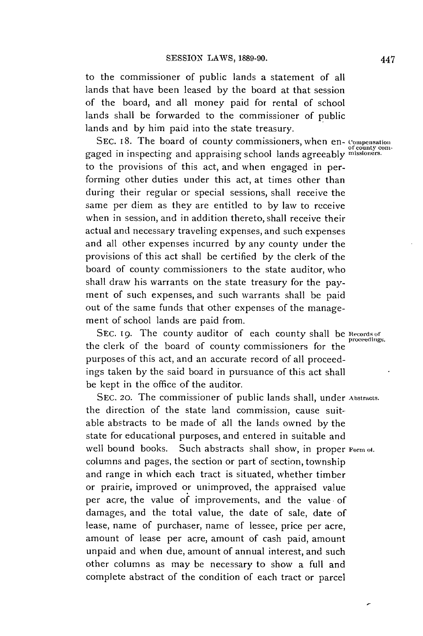to the commissioner of public lands a statement of all lands that have been leased **by** the board at that session of the board, and all money paid for rental of school lands shall be forwarded to the commissioner of public lands and **by** him paid into the state treasury.

**SEC. I8.** The board of county commissioners, when en- **compensation** gaged in inspecting and appraising school lands agreeably **missioners.** to the provisions of this act, and when engaged in performing other duties under this act, at times other than during their regular or special sessions, shall receive the same per diem as they are entitled to **by** law to receive when in session, and in addition thereto, shall receive their actual and necessary traveling expenses, and such expenses and all other expenses incurred **by** any county under the provisions of this act shall be certified **by** the clerk of the board of county commissioners to the state auditor, who shall draw his warrants on the state treasury for the payment of such expenses, and such warrants shall **be** paid out of the same funds that other expenses of the management of school lands are paid from.

SEC. 19. The county auditor of each county shall be Records of the clerk of the board of county commissioners for the purposes of this act, and an accurate record of all proceedings taken **by** the said board in pursuance of this act shall be kept in the office of the auditor.

**SEC. 20.** The commissioner of public lands shall, under **Abstracts.** the direction of the state land commission, cause suitable abstracts to be made of all the lands owned **by** the state for educational purposes, and entered in suitable and well bound books. Such abstracts shall show, in proper **Form ot.** columns and pages, the section or part of section, township and range in which each tract is situated, whether timber or prairie, improved or unimproved, the appraised value per acre, the value of improvements, and the value of damages, and the total value, the date of sale, date of lease, name of purchaser, name of lessee, price per acre, amount of lease per acre, amount of cash paid, amount unpaid and when due, amount of annual interest, and such other columns as may be necessary to show a full and complete abstract of the condition of each tract or parcel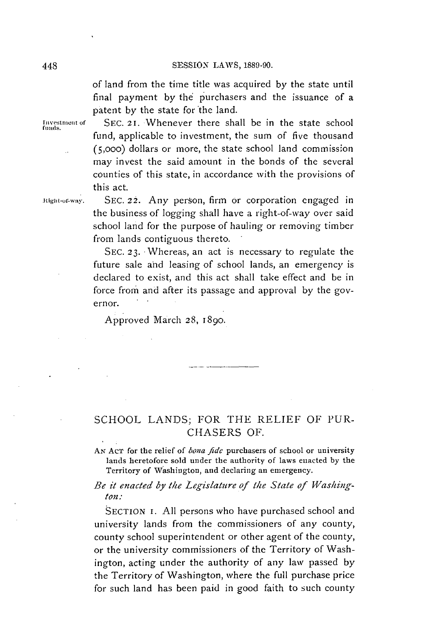of land from the time title was acquired **by** the state until final payment **by** the purchasers and the issuance of a patent **by** the state for the land.

Investment of **SEC. 21. Whenever there shall be in the state school** fund, applicable to investment, the sum of five thousand (5,ooo) dollars or more, the state school land commission may invest the said amount in the bonds of the several counties of this state, in accordance with the provisions of this act.

**Rigt-of-waY. SEC.** 22. Any person, firm or corporation engaged in the business of logging shall have a right-of-way over said school land for the purpose of hauling or removing timber from lands contiguous thereto.

> **SEC. 23.** Whereas, an act is necessary to regulate the future sale and leasing of school lands, an emergency is declared to exist, and this act shall take effect and be in force from and after its passage and approval **by** the governor.

Approved March **28, 1890.**

# **SCHOOL LANDS;** FOR THE RELIEF OF PUR-**CHASERS** OF.

**AN ACT** for the relief of *bona fide* purchasers of **school or university** lands heretofore sold under the authority of laws enacted **by** the Territory of Washington, and declaring an emergency.

*Be it enacted by the Legislature of the State of Washington:*

**SECTION I. All** persons who have purchased school and university lands from the commissioners of any county, county school superintendent or other agent of the county, or the university commissioners of the Territory of Washington, acting under the authority of any law passed **by** the Territory of Washington, where the full purchase price for such land has been paid in good faith to such county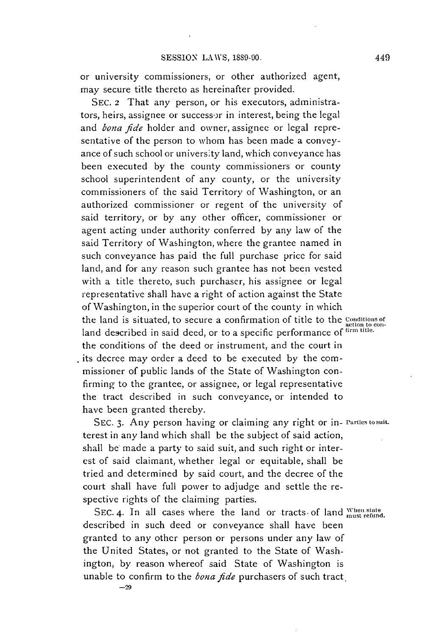or university commissioners, or other authorized agent, may secure title thereto as hereinafter provided.

**SEC.** 2 That any person, or his executors, administrators, heirs, assignee or successor in interest, being the legal *and bona fide* holder and owner, assignee or legal representative of the person to whom has been made a conveyance of such school or university land, which conveyance has been executed **by** the county commissioners or county school superintendent of any county, or the university commissioners of the said Territory of Washington, or an authorized commissioner or regent of the university of said territory, or **by** any other officer, commissioner or agent acting under authority conferred **by** any law of the said Territory of Washington, where the grantee named in such conveyance has paid the full purchase price for said land, and for any reason such grantee has not been vested with a title thereto, such purchaser, his assignee or legal representative shall have a right of action against the State of Washington, in the superior court of the county in which the land is situated, to secure a confirmation of title to the **Conditions** of land described in said deed, or to a specific performance **of firn title.** the conditions of the deed or instrument, and the court in its decree may order a deed to **be** executed **by** the commissioner of public lands of the State of Washington confirming to the grantee, or assignee, or legal representative the tract described in such conveyance, or intended to have been granted thereby.

**SEC. 3.** Any person having or claiming any right or in- **rarties tosuit.** terest in any land which shall be the subject of said action, shall **be** made a party to said suit, and such right or interest of said claimant, whether legal or equitable, shall **be** tried and determined **by** said court, and the decree of the court shall have full power to adjudge and settle the respective rights of the claiming parties.

SEC. 4. In all cases where the land or tracts of land when state described in such deed or conveyance shall have been granted to any other person or persons under any law of the United States, or not granted to the State of Washington, **by** reason whereof said State of Washington is unable to confirm to the *bona fide* purchasers of such tract.

 $-29$